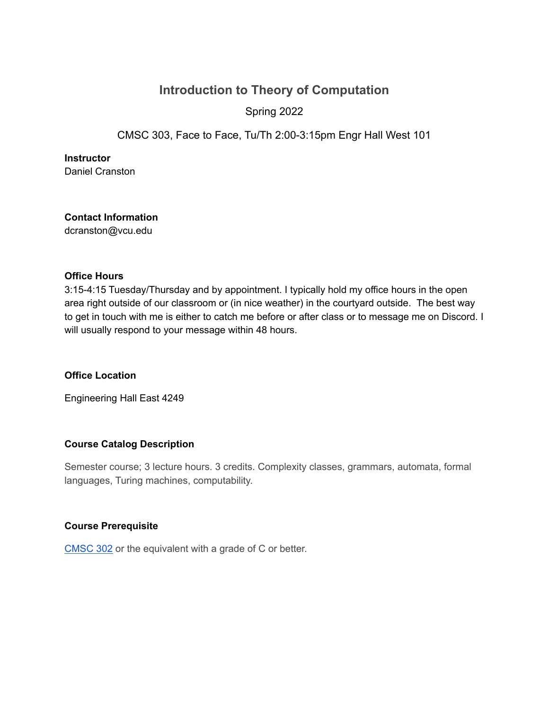# **Introduction to Theory of Computation** Spring 2022

CMSC 303, Face to Face, Tu/Th 2:00-3:15pm Engr Hall West 101

**Instructor**

Daniel Cranston

**Contact Information** dcranston@vcu.edu

#### **Office Hours**

3:15-4:15 Tuesday/Thursday and by appointment. I typically hold my office hours in the open area right outside of our classroom or (in nice weather) in the courtyard outside. The best way to get in touch with me is either to catch me before or after class or to message me on Discord. I will usually respond to your message within 48 hours.

## **Office Location**

Engineering Hall East 4249

## **Course Catalog Description**

Semester course; 3 lecture hours. 3 credits. Complexity classes, grammars, automata, formal languages, Turing machines, computability.

#### **Course Prerequisite**

[CMSC](http://bulletin.vcu.edu/search/?P=CMSC%20302) 302 or the equivalent with a grade of C or better.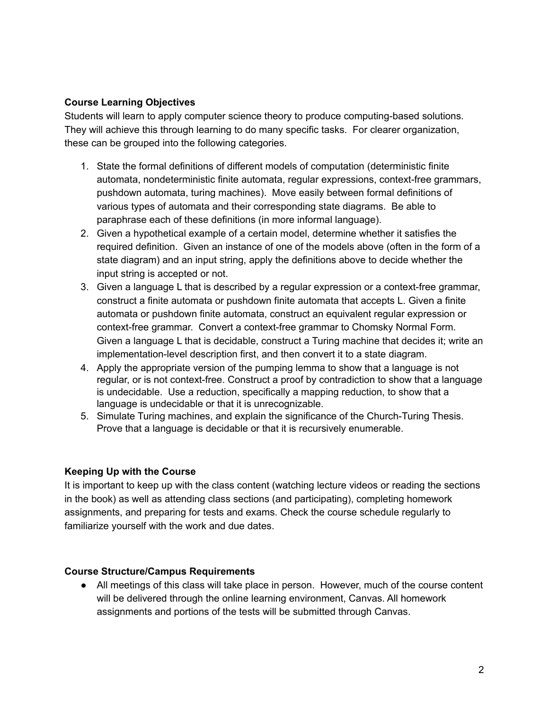## **Course Learning Objectives**

Students will learn to apply computer science theory to produce computing-based solutions. They will achieve this through learning to do many specific tasks. For clearer organization, these can be grouped into the following categories.

- 1. State the formal definitions of different models of computation (deterministic finite automata, nondeterministic finite automata, regular expressions, context-free grammars, pushdown automata, turing machines). Move easily between formal definitions of various types of automata and their corresponding state diagrams. Be able to paraphrase each of these definitions (in more informal language).
- 2. Given a hypothetical example of a certain model, determine whether it satisfies the required definition. Given an instance of one of the models above (often in the form of a state diagram) and an input string, apply the definitions above to decide whether the input string is accepted or not.
- 3. Given a language L that is described by a regular expression or a context-free grammar, construct a finite automata or pushdown finite automata that accepts L. Given a finite automata or pushdown finite automata, construct an equivalent regular expression or context-free grammar. Convert a context-free grammar to Chomsky Normal Form. Given a language L that is decidable, construct a Turing machine that decides it; write an implementation-level description first, and then convert it to a state diagram.
- 4. Apply the appropriate version of the pumping lemma to show that a language is not regular, or is not context-free. Construct a proof by contradiction to show that a language is undecidable. Use a reduction, specifically a mapping reduction, to show that a language is undecidable or that it is unrecognizable.
- 5. Simulate Turing machines, and explain the significance of the Church-Turing Thesis. Prove that a language is decidable or that it is recursively enumerable.

## **Keeping Up with the Course**

It is important to keep up with the class content (watching lecture videos or reading the sections in the book) as well as attending class sections (and participating), completing homework assignments, and preparing for tests and exams. Check the course schedule regularly to familiarize yourself with the work and due dates.

#### **Course Structure/Campus Requirements**

• All meetings of this class will take place in person. However, much of the course content will be delivered through the online learning environment, Canvas. All homework assignments and portions of the tests will be submitted through Canvas.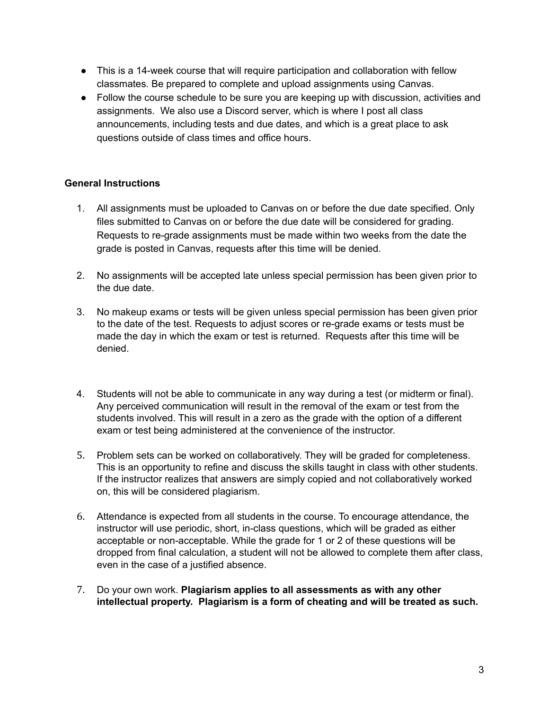- This is a 14-week course that will require participation and collaboration with fellow classmates. Be prepared to complete and upload assignments using Canvas.
- Follow the course schedule to be sure you are keeping up with discussion, activities and assignments. We also use a Discord server, which is where I post all class announcements, including tests and due dates, and which is a great place to ask questions outside of class times and office hours.

## **General Instructions**

- 1. All assignments must be uploaded to Canvas on or before the due date specified. Only files submitted to Canvas on or before the due date will be considered for grading. Requests to re-grade assignments must be made within two weeks from the date the grade is posted in Canvas, requests after this time will be denied.
- 2. No assignments will be accepted late unless special permission has been given prior to the due date.
- 3. No makeup exams or tests will be given unless special permission has been given prior to the date of the test. Requests to adjust scores or re-grade exams or tests must be made the day in which the exam or test is returned. Requests after this time will be denied.
- 4. Students will not be able to communicate in any way during a test (or midterm or final). Any perceived communication will result in the removal of the exam or test from the students involved. This will result in a zero as the grade with the option of a different exam or test being administered at the convenience of the instructor.
- 5. Problem sets can be worked on collaboratively. They will be graded for completeness. This is an opportunity to refine and discuss the skills taught in class with other students. If the instructor realizes that answers are simply copied and not collaboratively worked on, this will be considered plagiarism.
- 6. Attendance is expected from all students in the course. To encourage attendance, the instructor will use periodic, short, in-class questions, which will be graded as either acceptable or non-acceptable. While the grade for 1 or 2 of these questions will be dropped from final calculation, a student will not be allowed to complete them after class, even in the case of a justified absence.
- 7. Do your own work. **Plagiarism applies to all assessments as with any other intellectual property. Plagiarism is a form of cheating and will be treated as such.**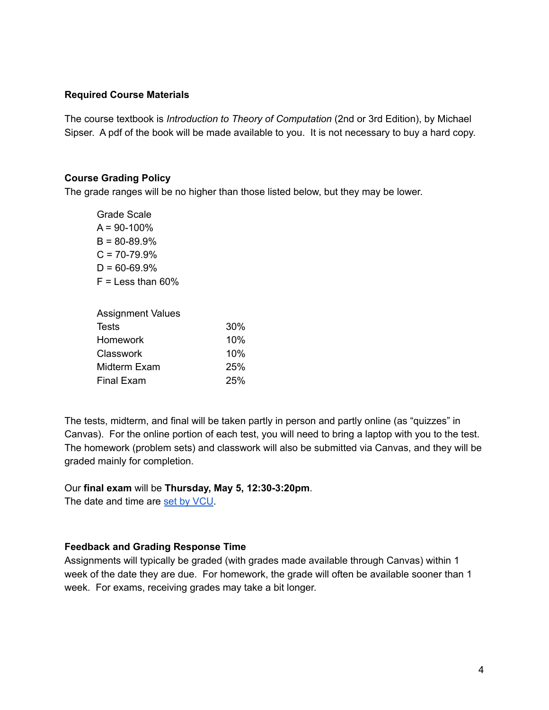#### **Required Course Materials**

The course textbook is *Introduction to Theory of Computation* (2nd or 3rd Edition), by Michael Sipser. A pdf of the book will be made available to you. It is not necessary to buy a hard copy.

#### **Course Grading Policy**

The grade ranges will be no higher than those listed below, but they may be lower.

Grade Scale  $A = 90 - 100\%$  $B = 80 - 89.9%$  $C = 70 - 79.9%$  $D = 60 - 69.9%$  $F =$  Less than 60%

| <b>Assignment Values</b> |     |
|--------------------------|-----|
| Tests                    | 30% |
| <b>Homework</b>          | 10% |
| Classwork                | 10% |
| Midterm Exam             | 25% |
| Final Exam               | 25% |

The tests, midterm, and final will be taken partly in person and partly online (as "quizzes" in Canvas). For the online portion of each test, you will need to bring a laptop with you to the test. The homework (problem sets) and classwork will also be submitted via Canvas, and they will be graded mainly for completion.

#### Our **final exam** will be **Thursday, May 5, 12:30-3:20pm**.

The date and time are set by [VCU](https://rar.vcu.edu/academic-schedules/final-exams/).

#### **Feedback and Grading Response Time**

Assignments will typically be graded (with grades made available through Canvas) within 1 week of the date they are due. For homework, the grade will often be available sooner than 1 week. For exams, receiving grades may take a bit longer.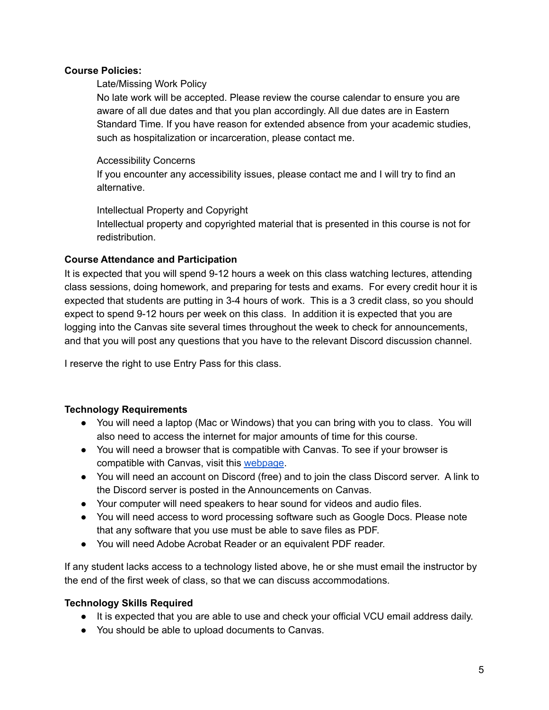## **Course Policies:**

## Late/Missing Work Policy

No late work will be accepted. Please review the course calendar to ensure you are aware of all due dates and that you plan accordingly. All due dates are in Eastern Standard Time. If you have reason for extended absence from your academic studies, such as hospitalization or incarceration, please contact me.

## Accessibility Concerns

If you encounter any accessibility issues, please contact me and I will try to find an alternative.

## Intellectual Property and Copyright

Intellectual property and copyrighted material that is presented in this course is not for redistribution.

## **Course Attendance and Participation**

It is expected that you will spend 9-12 hours a week on this class watching lectures, attending class sessions, doing homework, and preparing for tests and exams. For every credit hour it is expected that students are putting in 3-4 hours of work. This is a 3 credit class, so you should expect to spend 9-12 hours per week on this class. In addition it is expected that you are logging into the Canvas site several times throughout the week to check for announcements, and that you will post any questions that you have to the relevant Discord discussion channel.

I reserve the right to use Entry Pass for this class.

## **Technology Requirements**

- You will need a laptop (Mac or Windows) that you can bring with you to class. You will also need to access the internet for major amounts of time for this course.
- You will need a browser that is compatible with Canvas. To see if your browser is compatible with Canvas, visit this [webpage.](https://community.canvaslms.com/t5/Canvas-Basics-Guide/What-are-the-browser-and-computer-requirements-for-Canvas/ta-p/66)
- You will need an account on Discord (free) and to join the class Discord server. A link to the Discord server is posted in the Announcements on Canvas.
- Your computer will need speakers to hear sound for videos and audio files.
- You will need access to word processing software such as Google Docs. Please note that any software that you use must be able to save files as PDF.
- You will need Adobe Acrobat Reader or an equivalent PDF reader.

If any student lacks access to a technology listed above, he or she must email the instructor by the end of the first week of class, so that we can discuss accommodations.

## **Technology Skills Required**

- It is expected that you are able to use and check your official VCU email address daily.
- You should be able to upload documents to Canvas.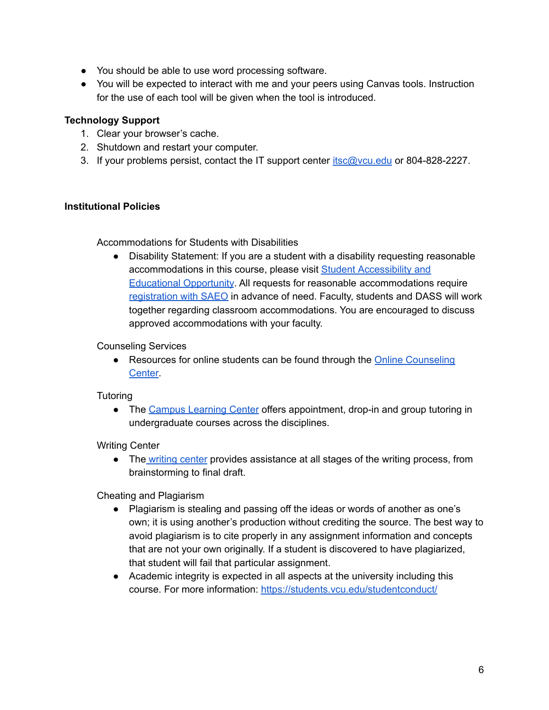- You should be able to use word processing software.
- You will be expected to interact with me and your peers using Canvas tools. Instruction for the use of each tool will be given when the tool is introduced.

## **Technology Support**

- 1. Clear your browser's cache.
- 2. Shutdown and restart your computer.
- 3. If your problems persist, contact the IT support center [itsc@vcu.edu](mailto:itsc@vcu.edu) or 804-828-2227.

#### **Institutional Policies**

Accommodations for Students with Disabilities

● Disability Statement: If you are a student with a disability requesting reasonable accommodations in this course, please visit Student [Accessibility](https://saeo.vcu.edu/) and [Educational](https://saeo.vcu.edu/) Opportunity. All requests for reasonable accommodations require [registration](https://saeo.vcu.edu/registration/process/) with SAEO in advance of need. Faculty, students and DASS will work together regarding classroom accommodations. You are encouraged to discuss approved accommodations with your faculty.

#### Counseling Services

• Resources for online students can be found through the Online [Counseling](https://counseling.vcu.edu/services/online-students-at-vcu/) [Center.](https://counseling.vcu.edu/services/online-students-at-vcu/)

#### **Tutoring**

• The Campus [Learning](https://clc.vcu.edu/tutoring/) Center offers appointment, drop-in and group tutoring in undergraduate courses across the disciplines.

Writing Center

• The [writing](https://writing.vcu.edu/) center provides assistance at all stages of the writing process, from brainstorming to final draft.

Cheating and Plagiarism

- Plagiarism is stealing and passing off the ideas or words of another as one's own; it is using another's production without crediting the source. The best way to avoid plagiarism is to cite properly in any assignment information and concepts that are not your own originally. If a student is discovered to have plagiarized, that student will fail that particular assignment.
- Academic integrity is expected in all aspects at the university including this course. For more information: <https://students.vcu.edu/studentconduct/>